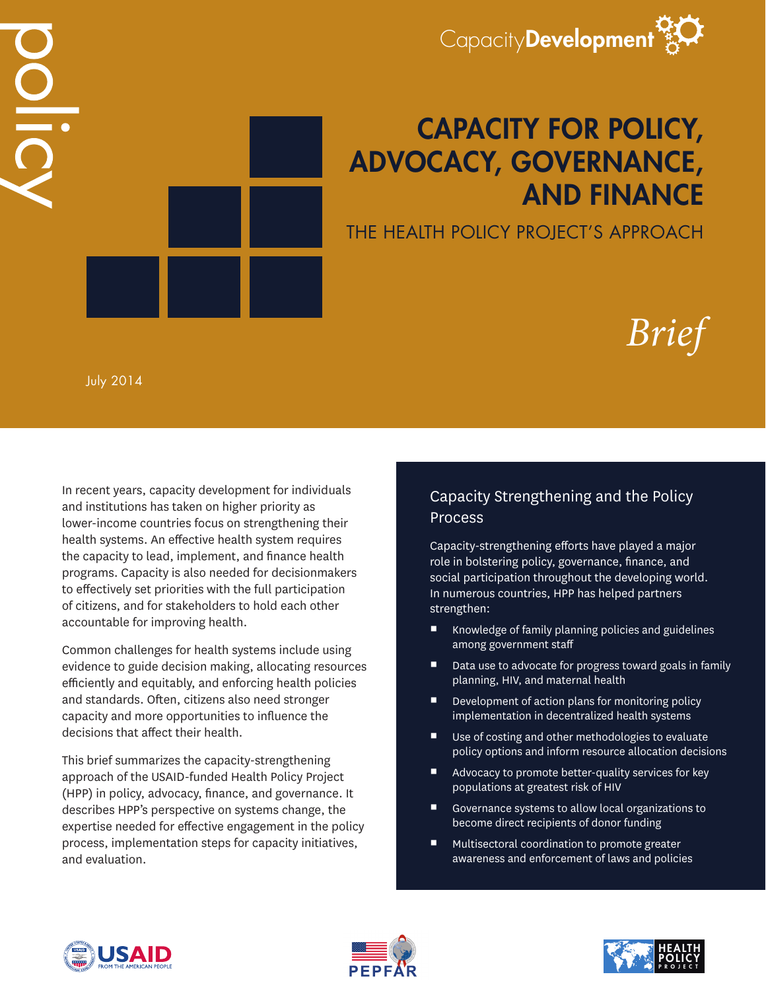

## CAPACITY FOR POLICY, ADVOCACY, GOVERNANCE, AND FINANCE

THE HEALTH POLICY PROJECT'S APPROACH

# *Brief*

July 2014

DO IIC

In recent years, capacity development for individuals and institutions has taken on higher priority as lower-income countries focus on strengthening their health systems. An effective health system requires the capacity to lead, implement, and finance health programs. Capacity is also needed for decisionmakers to effectively set priorities with the full participation of citizens, and for stakeholders to hold each other accountable for improving health.

Common challenges for health systems include using evidence to guide decision making, allocating resources efficiently and equitably, and enforcing health policies and standards. Often, citizens also need stronger capacity and more opportunities to influence the decisions that affect their health.

This brief summarizes the capacity-strengthening approach of the USAID-funded Health Policy Project (HPP) in policy, advocacy, finance, and governance. It describes HPP's perspective on systems change, the expertise needed for effective engagement in the policy process, implementation steps for capacity initiatives, and evaluation.

## Capacity Strengthening and the Policy **Process**

Capacity-strengthening efforts have played a major role in bolstering policy, governance, finance, and social participation throughout the developing world. In numerous countries, HPP has helped partners strengthen:

- Knowledge of family planning policies and guidelines among government staff
- Data use to advocate for progress toward goals in family planning, HIV, and maternal health
- Development of action plans for monitoring policy implementation in decentralized health systems
- Use of costing and other methodologies to evaluate policy options and inform resource allocation decisions
- Advocacy to promote better-quality services for key populations at greatest risk of HIV
- Governance systems to allow local organizations to become direct recipients of donor funding
- Multisectoral coordination to promote greater awareness and enforcement of laws and policies





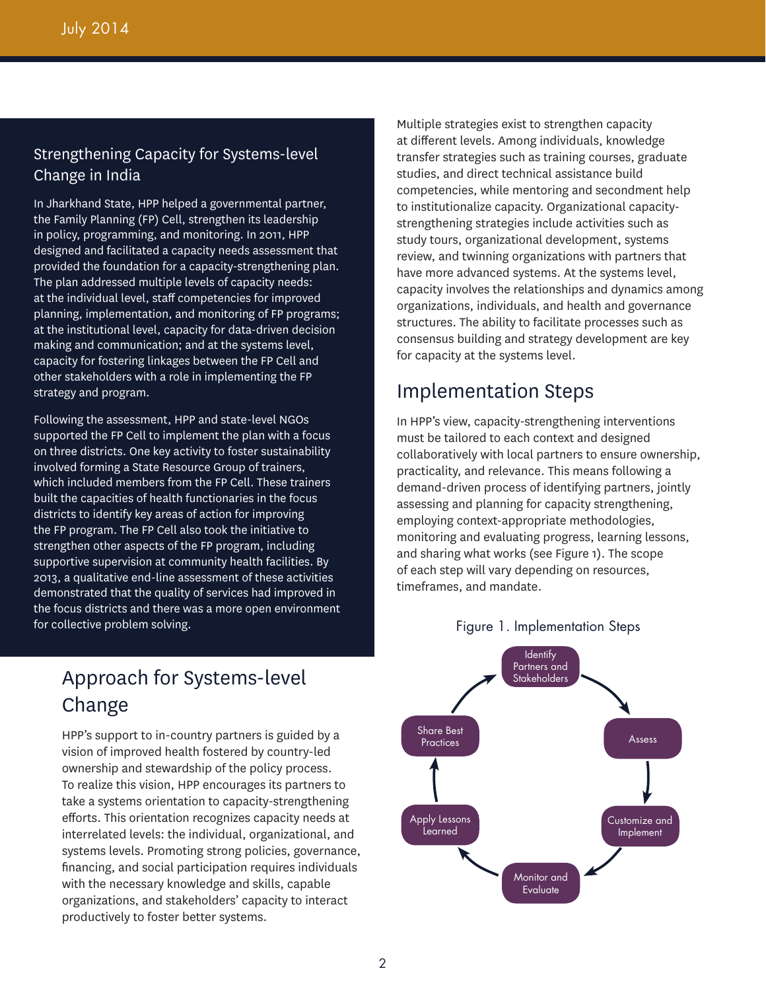## Strengthening Capacity for Systems-level Change in India

In Jharkhand State, HPP helped a governmental partner, the Family Planning (FP) Cell, strengthen its leadership in policy, programming, and monitoring. In 2011, HPP designed and facilitated a capacity needs assessment that provided the foundation for a capacity-strengthening plan. The plan addressed multiple levels of capacity needs: at the individual level, staff competencies for improved planning, implementation, and monitoring of FP programs; at the institutional level, capacity for data-driven decision making and communication; and at the systems level, capacity for fostering linkages between the FP Cell and other stakeholders with a role in implementing the FP strategy and program.

Following the assessment, HPP and state-level NGOs supported the FP Cell to implement the plan with a focus on three districts. One key activity to foster sustainability involved forming a State Resource Group of trainers, which included members from the FP Cell. These trainers built the capacities of health functionaries in the focus districts to identify key areas of action for improving the FP program. The FP Cell also took the initiative to strengthen other aspects of the FP program, including supportive supervision at community health facilities. By 2013, a qualitative end-line assessment of these activities demonstrated that the quality of services had improved in the focus districts and there was a more open environment for collective problem solving.

## Approach for Systems-level Change

HPP's support to in-country partners is guided by a vision of improved health fostered by country-led ownership and stewardship of the policy process. To realize this vision, HPP encourages its partners to take a systems orientation to capacity-strengthening efforts. This orientation recognizes capacity needs at interrelated levels: the individual, organizational, and systems levels. Promoting strong policies, governance, financing, and social participation requires individuals with the necessary knowledge and skills, capable organizations, and stakeholders' capacity to interact productively to foster better systems.

Multiple strategies exist to strengthen capacity at different levels. Among individuals, knowledge transfer strategies such as training courses, graduate studies, and direct technical assistance build competencies, while mentoring and secondment help to institutionalize capacity. Organizational capacitystrengthening strategies include activities such as study tours, organizational development, systems review, and twinning organizations with partners that have more advanced systems. At the systems level, capacity involves the relationships and dynamics among organizations, individuals, and health and governance structures. The ability to facilitate processes such as consensus building and strategy development are key for capacity at the systems level.

## Implementation Steps

In HPP's view, capacity-strengthening interventions must be tailored to each context and designed collaboratively with local partners to ensure ownership, practicality, and relevance. This means following a demand-driven process of identifying partners, jointly assessing and planning for capacity strengthening, employing context-appropriate methodologies, monitoring and evaluating progress, learning lessons, and sharing what works (see Figure 1). The scope of each step will vary depending on resources, timeframes, and mandate.



#### Figure 1. Implementation Steps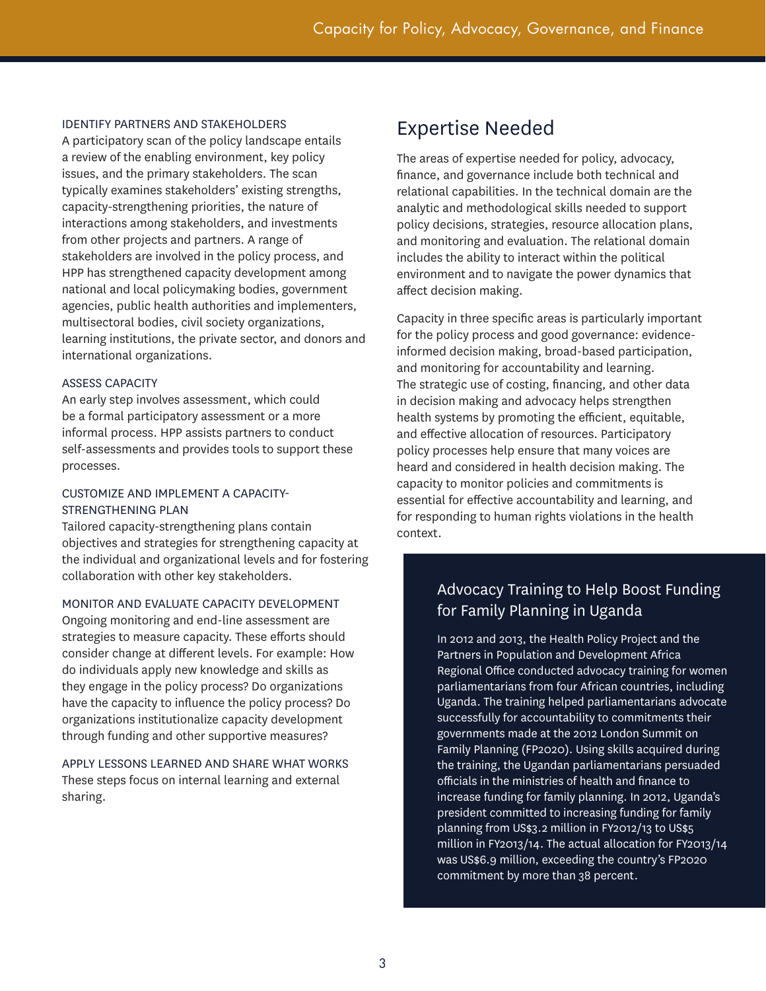#### IDENTIFY PARTNERS AND STAKEHOLDERS

A participatory scan of the policy landscape entails a review of the enabling environment, key policy issues, and the primary stakeholders. The scan typically examines stakeholders' existing strengths, capacity-strengthening priorities, the nature of interactions among stakeholders, and investments from other projects and partners. A range of stakeholders are involved in the policy process, and HPP has strengthened capacity development among national and local policymaking bodies, government agencies, public health authorities and implementers, multisectoral bodies, civil society organizations, learning institutions, the private sector, and donors and international organizations.

#### ASSESS CAPACITY

An early step involves assessment, which could be a formal participatory assessment or a more informal process. HPP assists partners to conduct self-assessments and provides tools to support these processes.

#### CUSTOMIZE AND IMPLEMENT A CAPACITY-STRENGTHENING PLAN

Tailored capacity-strengthening plans contain objectives and strategies for strengthening capacity at the individual and organizational levels and for fostering collaboration with other key stakeholders.

#### MONITOR AND EVALUATE CAPACITY DEVELOPMENT

Ongoing monitoring and end-line assessment are strategies to measure capacity. These efforts should consider change at different levels. For example: How do individuals apply new knowledge and skills as they engage in the policy process? Do organizations have the capacity to influence the policy process? Do organizations institutionalize capacity development through funding and other supportive measures?

#### APPLY LESSONS LEARNED AND SHARE WHAT WORKS These steps focus on internal learning and external sharing.

## Expertise Needed

The areas of expertise needed for policy, advocacy, finance, and governance include both technical and relational capabilities. In the technical domain are the analytic and methodological skills needed to support policy decisions, strategies, resource allocation plans, and monitoring and evaluation. The relational domain includes the ability to interact within the political environment and to navigate the power dynamics that affect decision making.

Capacity in three specific areas is particularly important for the policy process and good governance: evidenceinformed decision making, broad-based participation, and monitoring for accountability and learning. The strategic use of costing, financing, and other data in decision making and advocacy helps strengthen health systems by promoting the efficient, equitable, and effective allocation of resources. Participatory policy processes help ensure that many voices are heard and considered in health decision making. The capacity to monitor policies and commitments is essential for effective accountability and learning, and for responding to human rights violations in the health context.

## Advocacy Training to Help Boost Funding for Family Planning in Uganda

In 2012 and 2013, the Health Policy Project and the Partners in Population and Development Africa Regional Office conducted advocacy training for women parliamentarians from four African countries, including Uganda. The training helped parliamentarians advocate successfully for accountability to commitments their governments made at the 2012 London Summit on Family Planning (FP2020). Using skills acquired during the training, the Ugandan parliamentarians persuaded officials in the ministries of health and finance to increase funding for family planning. In 2012, Uganda's president committed to increasing funding for family planning from US\$3.2 million in FY2012/13 to US\$5 million in FY2013/14. The actual allocation for FY2013/14 was US\$6.9 million, exceeding the country's FP2020 commitment by more than 38 percent.